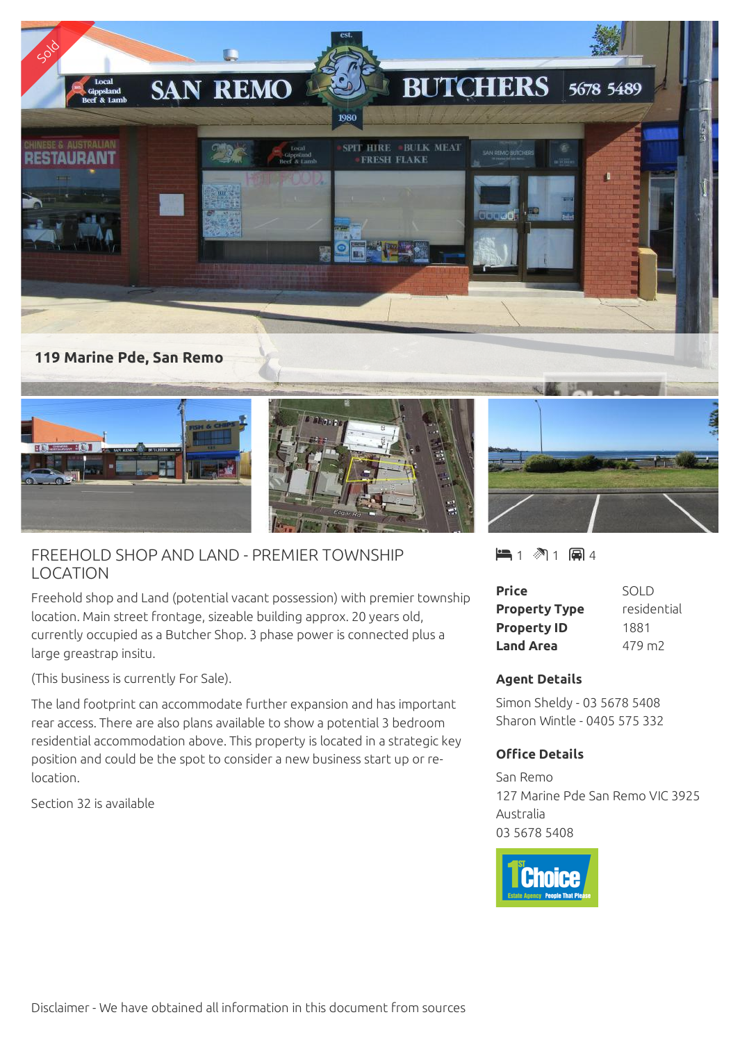

## FREEHOLD SHOP AND LAND - PREMIER TOWNSHIP LOCATION

Freehold shop and Land (potential vacant possession) with premier township location. Main street frontage, sizeable building approx. 20 years old, currently occupied as a Butcher Shop. 3 phase power is connected plus a large greastrap insitu.

(This business is currently For Sale).

The land footprint can accommodate further expansion and has important rear access. There are also plans available to show a potential 3 bedroom residential accommodation above. This property is located in a strategic key position and could be the spot to consider a new business start up or relocation.

Section 32 is available

 $-1$   $\sqrt[3]{1}$   $\Box$  4

| <b>Price</b>         | SOLD               |
|----------------------|--------------------|
| <b>Property Type</b> | residential        |
| <b>Property ID</b>   | 1881               |
| <b>Land Area</b>     | 479 m <sub>2</sub> |

## **Agent Details**

Simon Sheldy - 03 5678 5408 Sharon Wintle - 0405 575 332

## **Office Details**

San Remo 127 Marine Pde San Remo VIC 3925 Australia 03 5678 5408